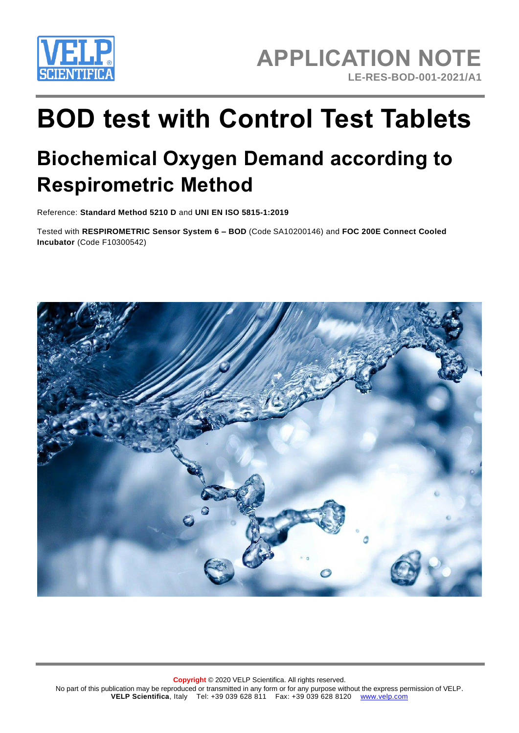

# **BOD test with Control Test Tablets**

# **Biochemical Oxygen Demand according to Respirometric Method**

Reference: **Standard Method 5210 D** and **UNI EN ISO 5815-1:2019**

Tested with **RESPIROMETRIC Sensor System 6 – BOD** (Code [SA10200146\)](javascript:void(0)) and **FOC 200E Connect Cooled Incubator** (Code F10300542)

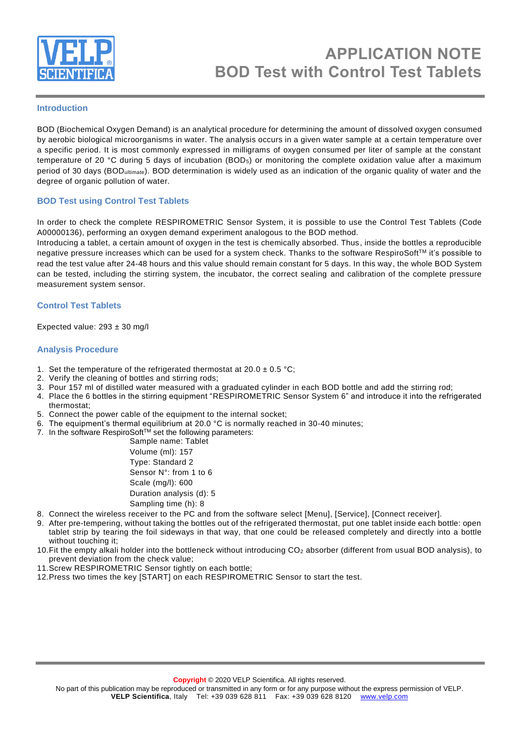

#### **Introduction**

BOD (Biochemical Oxygen Demand) is an analytical procedure for determining the amount of dissolved oxygen consumed by aerobic biological microorganisms in water. The analysis occurs in a given water sample at a certain temperature over a specific period. It is most commonly expressed in milligrams of oxygen consumed per liter of sample at the constant temperature of 20 °C during 5 days of incubation (BOD5) or monitoring the complete oxidation value after a maximum period of 30 days (BODultimate). BOD determination is widely used as an indication of the organic quality of water and the degree of organic pollution of water.

# **BOD Test using Control Test Tablets**

In order to check the complete RESPIROMETRIC Sensor System, it is possible to use the Control Test Tablets (Code A00000136), performing an oxygen demand experiment analogous to the BOD method.

Introducing a tablet, a certain amount of oxygen in the test is chemically absorbed. Thus, inside the bottles a reproducible negative pressure increases which can be used for a system check. Thanks to the software RespiroSoft™ it's possible to read the test value after 24-48 hours and this value should remain constant for 5 days. In this way, the whole BOD System can be tested, including the stirring system, the incubator, the correct sealing and calibration of the complete pressure measurement system sensor.

#### **Control Test Tablets**

Expected value:  $293 \pm 30$  mg/l

#### **Analysis Procedure**

- 1. Set the temperature of the refrigerated thermostat at  $20.0 \pm 0.5$  °C;
- 2. Verify the cleaning of bottles and stirring rods;
- 3. Pour 157 ml of distilled water measured with a graduated cylinder in each BOD bottle and add the stirring rod;
- 4. Place the 6 bottles in the stirring equipment "RESPIROMETRIC Sensor System 6" and introduce it into the refrigerated thermostat;
- 5. Connect the power cable of the equipment to the internal socket;
- 6. The equipment's thermal equilibrium at 20.0 °C is normally reached in 30-40 minutes;
- 7. In the software RespiroSoft<sup>TM</sup> set the following parameters:

Sample name: Tablet Volume (ml): 157 Type: Standard 2 Sensor N°: from 1 to 6 Scale (mg/l): 600 Duration analysis (d): 5 Sampling time (h): 8

- 8. Connect the wireless receiver to the PC and from the software select [Menu], [Service], [Connect receiver].
- 9. After pre-tempering, without taking the bottles out of the refrigerated thermostat, put one tablet inside each bottle: open tablet strip by tearing the foil sideways in that way, that one could be released completely and directly into a bottle without touching it;
- 10. Fit the empty alkali holder into the bottleneck without introducing  $CO<sub>2</sub>$  absorber (different from usual BOD analysis), to prevent deviation from the check value;
- 11.Screw RESPIROMETRIC Sensor tightly on each bottle;
- 12.Press two times the key [START] on each RESPIROMETRIC Sensor to start the test.